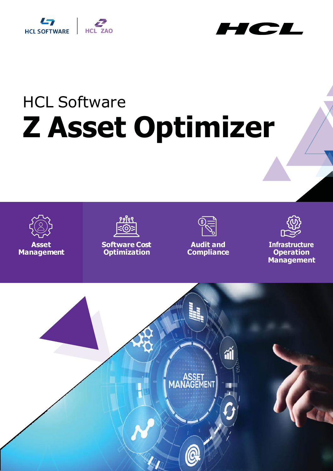



# HCL Software **Z Asset Optimizer**



**Asset Management**



**Software Cost Optimization**



**Audit and Compliance**



**Infrastructure Operation Management**

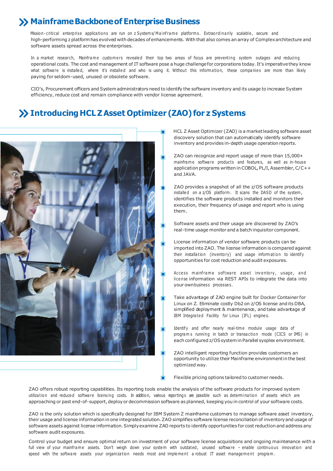### **X** Mainframe Backbone of Enterprise Business

Mission-critical enterprise applications are run on z Systems/Mainframe platforms. Extraordinarily scalable, secure and high-performing z platformhas evolved with decades ofenhancements. With that also comes an array of Complexarchitecture and software assets spread across the enterprises.

In a market research, Mainframe customers revealed their top two areas of focus are preventing system outages and reducing operational costs. The cost and management of IT software pose a huge challengefor corporations today. It's imperativethey know what software is installed, where it's installed and who is using it. Without this information, these companies are more than likely paying for seldom-used, unused or obsolete software.

CIO's, Procurement officers and Systemadministrators need to identify the software inventory and its usage to increase System efficiency, reduce cost and remain compliance with vendor license agreement.

#### **IntroducingHCLZAsset Optimizer (ZAO) for z Systems**



HCL Z Asset Optimizer (ZAO) is a marketleading software asset discovery solution that can automatically identify software inventory and provides in-depth usage operation reports.

- ZAO can recognize and report usage of more than 15,000+ mainframe software products and features, as well as in-house application programs written in COBOL, PL/I, Assembler, C/C++ and JAVA.
- ZAO provides a snapshot of all the z/OS software products installed on a z/OS platform. It scans the DASD of the system, identifies the software products installed and monitors their execution, their frequency of usage and report who is using them.
- Software assets and their usage are discovered by ZAO's real-time usage monitor and a batch inquisitor component.
- License information of vendor software products can be imported into ZAO. The license information is compared against their installation (inventory) and usage information to identify opportunities for cost reduction and audit exposures.
- Access mainframe software asset inventory, usage, and license information via REST APIs to integrate the data into your ownbusiness processe s .
- Take advantage of ZAO engine built for Docker Container for Linux on Z. Eliminate costly Db2 on z/OS license and its DBA, simplified deployment & maintenance, and take advantage of IBM Integrated Facility for Linux (IFL) engines.
- Identify and offer nearly real-time module usage data of program s running in batch or transaction mode (CICS or IMS) in each configured z/OSsystemin Parallel sysplex environment.
- ZAO intelligent reporting function provides customers an opportunity to utilize their Mainframe environmentin the best optimized way.

Flexible pricing options tailored to customer needs.

ZAO offers robust reporting capabilities. Its reporting tools enable the analysis of the software products for improved system utilization and reduced software licensing costs. In addition, various reportings are possible such as determination of assets which are approaching or past end-of-support, deploy or decommission software as planned, keeping you in control of your software costs.

ZAO is the only solution which is specifically designed for IBM System Z mainframe customers to manage software asset inventory, their usage and license information in one integrated solution.ZAO simplifies software license reconciliation of inventoryand usage of software assets against license information. Simply examine ZAO reports to identify opportunities for cost reduction and address any software audit exposures.

Control your budget and ensure optimal return on investment of your software license acquisitions and ongoing maintenance with a full view of your mainframe assets. Don't weigh down your system with outdated, unused software - enable continuous innovation and speed with the software assets your organization needs most and implement a robust IT asset management program.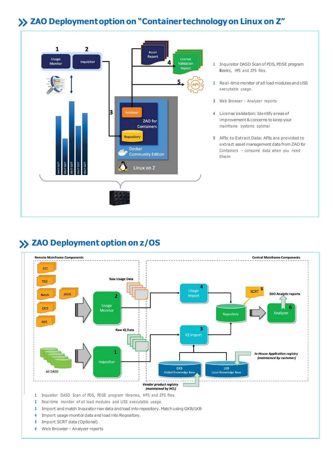# **ZAO Deploymentoption on "Container technologyon Linux on Z"**



- **<sup>1</sup>** Inquisitor DASD Scanof PDS, PDSE program libraries, HFS and ZFS files.
- **<sup>2</sup>** Real-time monitor of all loadmodules and USS executable usage .
- **3** Web Browser Analyzer reports
- **<sup>4</sup>** License Validation: Identify areas of improvement & concerns to keep your mainframe systems optimal
- **<sup>5</sup>** APIs to Extract Data: APIs are provided to extract asset management data fromZAO for Containers – consume data when you need them

## **ZAO Deployment option on z/OS**



- **3** Import and match Inquisitor raw data and load into repository. Match using GKB/LKB
- 4 Import usage monitor data and load into Repository.
- **<sup>5</sup>** Import SCRT data (Optional)
- **<sup>6</sup>** Web Browser– Analyzer reports